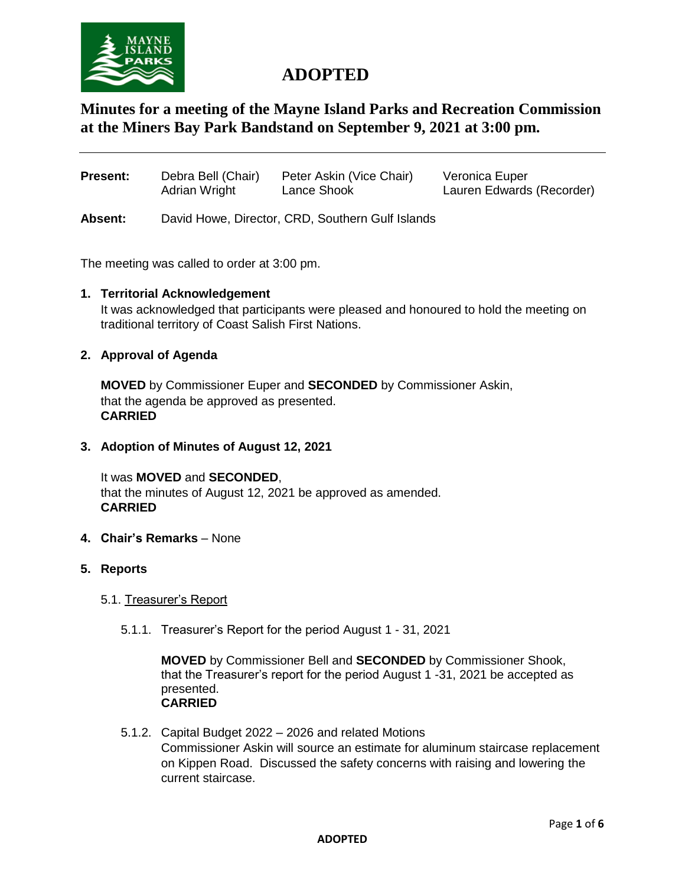

# **ADOPTED**

# **Minutes for a meeting of the Mayne Island Parks and Recreation Commission at the Miners Bay Park Bandstand on September 9, 2021 at 3:00 pm.**

| <b>Present:</b> | Debra Bell (Chair) | Peter Askin (Vice Chair) | Veronica Euper            |
|-----------------|--------------------|--------------------------|---------------------------|
|                 | Adrian Wright      | Lance Shook              | Lauren Edwards (Recorder) |
|                 |                    |                          |                           |

**Absent:** David Howe, Director, CRD, Southern Gulf Islands

The meeting was called to order at 3:00 pm.

#### **1. Territorial Acknowledgement**

It was acknowledged that participants were pleased and honoured to hold the meeting on traditional territory of Coast Salish First Nations.

#### **2. Approval of Agenda**

**MOVED** by Commissioner Euper and **SECONDED** by Commissioner Askin, that the agenda be approved as presented. **CARRIED** 

**3. Adoption of Minutes of August 12, 2021**

It was **MOVED** and **SECONDED**, that the minutes of August 12, 2021 be approved as amended. **CARRIED** 

- **4. Chair's Remarks** None
- **5. Reports**

# 5.1. Treasurer's Report

5.1.1. Treasurer's Report for the period August 1 - 31, 2021

**MOVED** by Commissioner Bell and **SECONDED** by Commissioner Shook, that the Treasurer's report for the period August 1 -31, 2021 be accepted as presented. **CARRIED**

5.1.2. Capital Budget 2022 – 2026 and related Motions Commissioner Askin will source an estimate for aluminum staircase replacement on Kippen Road. Discussed the safety concerns with raising and lowering the current staircase.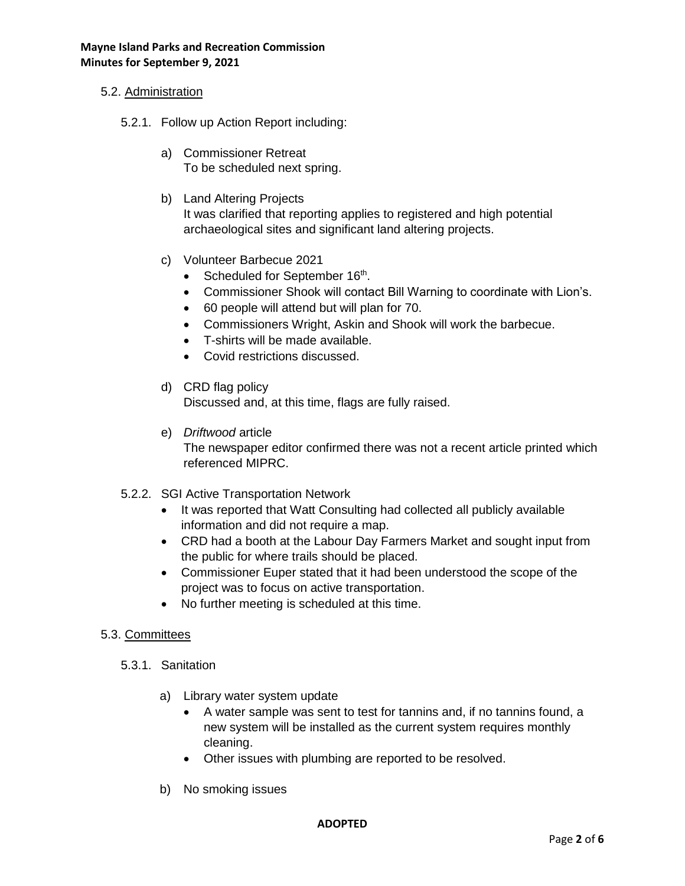# 5.2. Administration

- 5.2.1. Follow up Action Report including:
	- a) Commissioner Retreat To be scheduled next spring.
	- b) Land Altering Projects It was clarified that reporting applies to registered and high potential archaeological sites and significant land altering projects.
	- c) Volunteer Barbecue 2021
		- Scheduled for September 16<sup>th</sup>.
		- Commissioner Shook will contact Bill Warning to coordinate with Lion's.
		- 60 people will attend but will plan for 70.
		- Commissioners Wright, Askin and Shook will work the barbecue.
		- T-shirts will be made available.
		- Covid restrictions discussed.
	- d) CRD flag policy Discussed and, at this time, flags are fully raised.
	- e) *Driftwood* article The newspaper editor confirmed there was not a recent article printed which referenced MIPRC.
- 5.2.2. SGI Active Transportation Network
	- It was reported that Watt Consulting had collected all publicly available information and did not require a map.
	- CRD had a booth at the Labour Day Farmers Market and sought input from the public for where trails should be placed.
	- Commissioner Euper stated that it had been understood the scope of the project was to focus on active transportation.
	- No further meeting is scheduled at this time.

#### 5.3. Committees

- 5.3.1. Sanitation
	- a) Library water system update
		- A water sample was sent to test for tannins and, if no tannins found, a new system will be installed as the current system requires monthly cleaning.
		- Other issues with plumbing are reported to be resolved.
	- b) No smoking issues

#### **ADOPTED**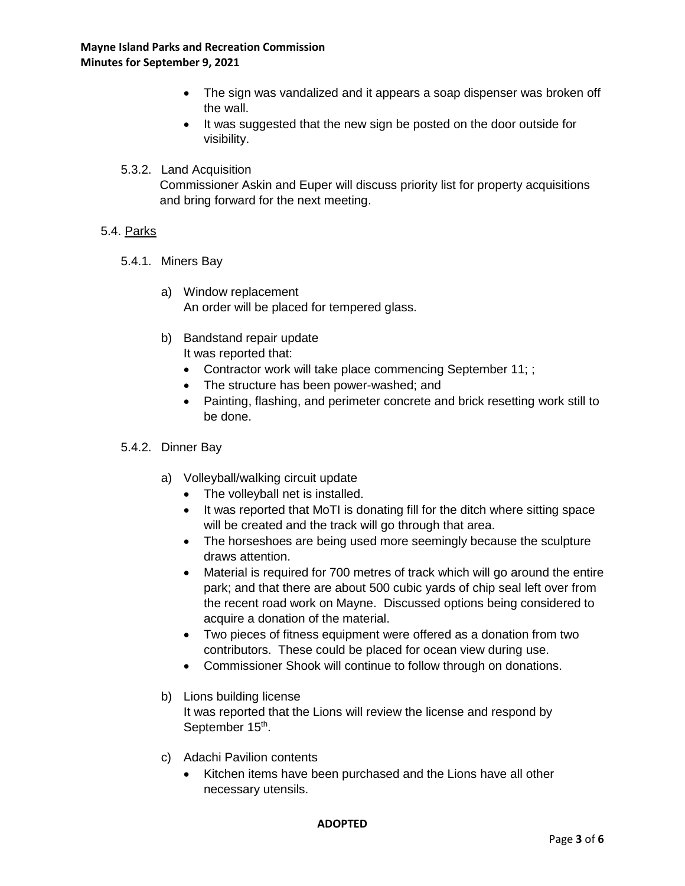- The sign was vandalized and it appears a soap dispenser was broken off the wall.
- It was suggested that the new sign be posted on the door outside for visibility.
- 5.3.2. Land Acquisition

Commissioner Askin and Euper will discuss priority list for property acquisitions and bring forward for the next meeting.

# 5.4. Parks

- 5.4.1. Miners Bay
	- a) Window replacement An order will be placed for tempered glass.
	- b) Bandstand repair update It was reported that:
		- Contractor work will take place commencing September 11; ;
		- The structure has been power-washed; and
		- Painting, flashing, and perimeter concrete and brick resetting work still to be done.

# 5.4.2. Dinner Bay

- a) Volleyball/walking circuit update
	- The volleyball net is installed.
	- It was reported that MoTI is donating fill for the ditch where sitting space will be created and the track will go through that area.
	- The horseshoes are being used more seemingly because the sculpture draws attention.
	- Material is required for 700 metres of track which will go around the entire park; and that there are about 500 cubic yards of chip seal left over from the recent road work on Mayne. Discussed options being considered to acquire a donation of the material.
	- Two pieces of fitness equipment were offered as a donation from two contributors. These could be placed for ocean view during use.
	- Commissioner Shook will continue to follow through on donations.
- b) Lions building license

It was reported that the Lions will review the license and respond by September 15<sup>th</sup>.

- c) Adachi Pavilion contents
	- Kitchen items have been purchased and the Lions have all other necessary utensils.

#### **ADOPTED**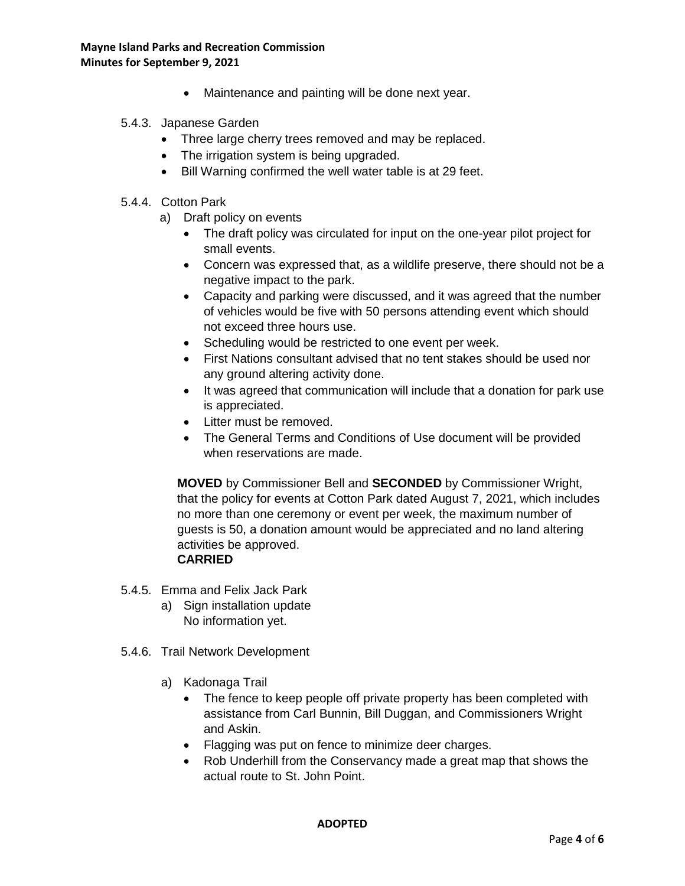• Maintenance and painting will be done next year.

# 5.4.3. Japanese Garden

- Three large cherry trees removed and may be replaced.
- The irrigation system is being upgraded.
- Bill Warning confirmed the well water table is at 29 feet.

# 5.4.4. Cotton Park

- a) Draft policy on events
	- The draft policy was circulated for input on the one-year pilot project for small events.
	- Concern was expressed that, as a wildlife preserve, there should not be a negative impact to the park.
	- Capacity and parking were discussed, and it was agreed that the number of vehicles would be five with 50 persons attending event which should not exceed three hours use.
	- Scheduling would be restricted to one event per week.
	- First Nations consultant advised that no tent stakes should be used nor any ground altering activity done.
	- It was agreed that communication will include that a donation for park use is appreciated.
	- Litter must be removed.
	- The General Terms and Conditions of Use document will be provided when reservations are made.

**MOVED** by Commissioner Bell and **SECONDED** by Commissioner Wright, that the policy for events at Cotton Park dated August 7, 2021, which includes no more than one ceremony or event per week, the maximum number of guests is 50, a donation amount would be appreciated and no land altering activities be approved.

# **CARRIED**

- 5.4.5. Emma and Felix Jack Park
	- a) Sign installation update No information yet.
- 5.4.6. Trail Network Development
	- a) Kadonaga Trail
		- The fence to keep people off private property has been completed with assistance from Carl Bunnin, Bill Duggan, and Commissioners Wright and Askin.
		- Flagging was put on fence to minimize deer charges.
		- Rob Underhill from the Conservancy made a great map that shows the actual route to St. John Point.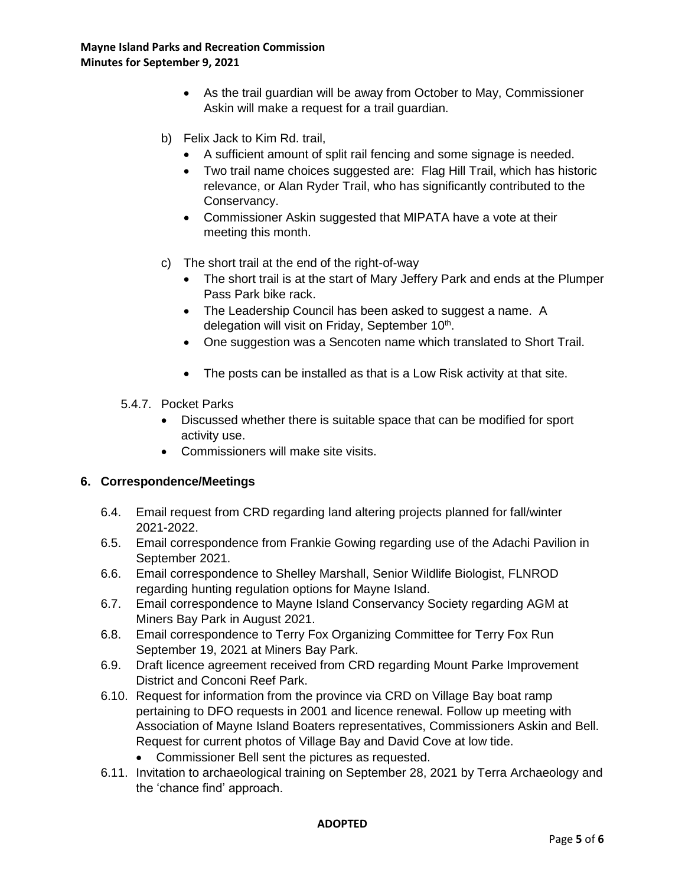- As the trail guardian will be away from October to May, Commissioner Askin will make a request for a trail guardian.
- b) Felix Jack to Kim Rd. trail,
	- A sufficient amount of split rail fencing and some signage is needed.
	- Two trail name choices suggested are: Flag Hill Trail, which has historic relevance, or Alan Ryder Trail, who has significantly contributed to the Conservancy.
	- Commissioner Askin suggested that MIPATA have a vote at their meeting this month.
- c) The short trail at the end of the right-of-way
	- The short trail is at the start of Mary Jeffery Park and ends at the Plumper Pass Park bike rack.
	- The Leadership Council has been asked to suggest a name. A delegation will visit on Friday, September 10<sup>th</sup>.
	- One suggestion was a Sencoten name which translated to Short Trail.
	- The posts can be installed as that is a Low Risk activity at that site.
- 5.4.7. Pocket Parks
	- Discussed whether there is suitable space that can be modified for sport activity use.
	- Commissioners will make site visits.

# **6. Correspondence/Meetings**

- 6.4. Email request from CRD regarding land altering projects planned for fall/winter 2021-2022.
- 6.5. Email correspondence from Frankie Gowing regarding use of the Adachi Pavilion in September 2021.
- 6.6. Email correspondence to Shelley Marshall, Senior Wildlife Biologist, FLNROD regarding hunting regulation options for Mayne Island.
- 6.7. Email correspondence to Mayne Island Conservancy Society regarding AGM at Miners Bay Park in August 2021.
- 6.8. Email correspondence to Terry Fox Organizing Committee for Terry Fox Run September 19, 2021 at Miners Bay Park.
- 6.9. Draft licence agreement received from CRD regarding Mount Parke Improvement District and Conconi Reef Park.
- 6.10. Request for information from the province via CRD on Village Bay boat ramp pertaining to DFO requests in 2001 and licence renewal. Follow up meeting with Association of Mayne Island Boaters representatives, Commissioners Askin and Bell. Request for current photos of Village Bay and David Cove at low tide.
	- Commissioner Bell sent the pictures as requested.
- 6.11. Invitation to archaeological training on September 28, 2021 by Terra Archaeology and the 'chance find' approach.